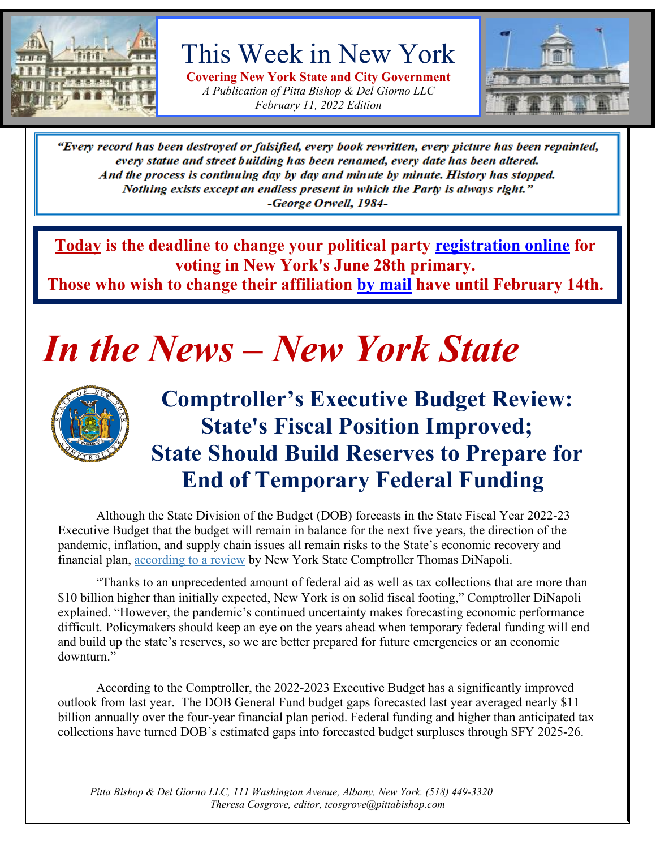

This Week in New York

**Covering New York State and City Government** *A Publication of Pitta Bishop & Del Giorno LLC February 11, 2022 Edition*



"Every record has been destroyed or falsified, every book rewritten, every picture has been repainted, every statue and street building has been renamed, every date has been altered. And the process is continuing day by day and minute by minute. History has stopped. Nothing exists except an endless present in which the Party is always right." -George Orwell, 1984-

**Today is the deadline to change your political party [registration online](https://dmv.ny.gov/more-info/electronic-voter-registration-application) for voting in New York's June 28th primary.**

**Those who wish to change their affiliation [by mail](https://www.elections.ny.gov/VotingRegister.html#VoteRegForm) have until February 14th.**

# *In the News – New York State*



## **Comptroller's Executive Budget Review: State's Fiscal Position Improved; State Should Build Reserves to Prepare for End of Temporary Federal Funding**

Although the State Division of the Budget (DOB) forecasts in the State Fiscal Year 2022-23 Executive Budget that the budget will remain in balance for the next five years, the direction of the pandemic, inflation, and supply chain issues all remain risks to the State's economic recovery and financial plan, [according to a review](https://www.osc.state.ny.us/files/reports/budget/pdf/executive-budget-review-2022-23.pdf) by New York State Comptroller Thomas DiNapoli.

"Thanks to an unprecedented amount of federal aid as well as tax collections that are more than \$10 billion higher than initially expected, New York is on solid fiscal footing," Comptroller DiNapoli explained. "However, the pandemic's continued uncertainty makes forecasting economic performance difficult. Policymakers should keep an eye on the years ahead when temporary federal funding will end and build up the state's reserves, so we are better prepared for future emergencies or an economic downturn."

According to the Comptroller, the 2022-2023 Executive Budget has a significantly improved outlook from last year. The DOB General Fund budget gaps forecasted last year averaged nearly \$11 billion annually over the four-year financial plan period. Federal funding and higher than anticipated tax collections have turned DOB's estimated gaps into forecasted budget surpluses through SFY 2025-26.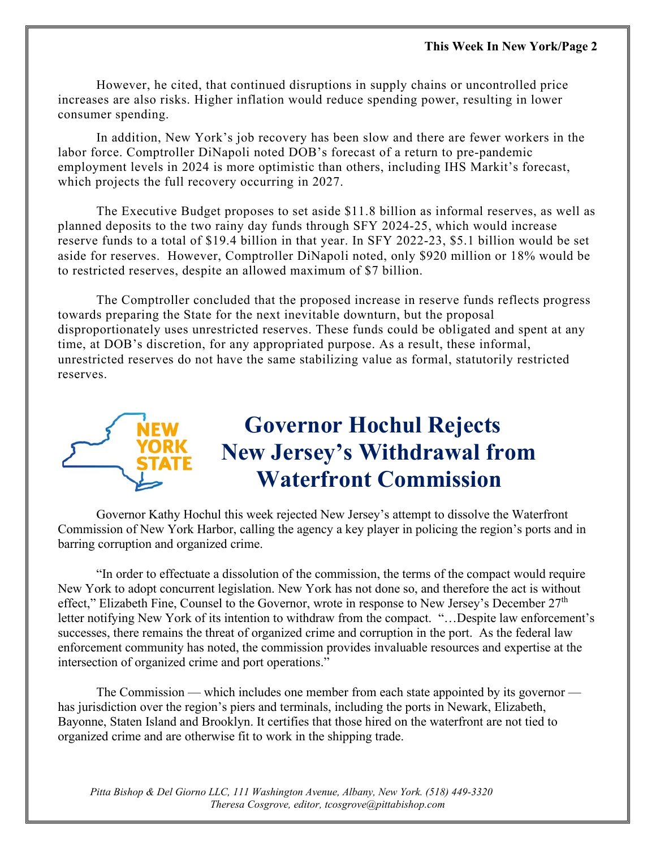However, he cited, that continued disruptions in supply chains or uncontrolled price increases are also risks. Higher inflation would reduce spending power, resulting in lower consumer spending.

In addition, New York's job recovery has been slow and there are fewer workers in the labor force. Comptroller DiNapoli noted DOB's forecast of a return to pre-pandemic employment levels in 2024 is more optimistic than others, including IHS Markit's forecast, which projects the full recovery occurring in 2027.

The Executive Budget proposes to set aside \$11.8 billion as informal reserves, as well as planned deposits to the two rainy day funds through SFY 2024-25, which would increase reserve funds to a total of \$19.4 billion in that year. In SFY 2022-23, \$5.1 billion would be set aside for reserves. However, Comptroller DiNapoli noted, only \$920 million or 18% would be to restricted reserves, despite an allowed maximum of \$7 billion.

The Comptroller concluded that the proposed increase in reserve funds reflects progress towards preparing the State for the next inevitable downturn, but the proposal disproportionately uses unrestricted reserves. These funds could be obligated and spent at any time, at DOB's discretion, for any appropriated purpose. As a result, these informal, unrestricted reserves do not have the same stabilizing value as formal, statutorily restricted reserves.



Governor Kathy Hochul this week rejected New Jersey's attempt to dissolve the Waterfront Commission of New York Harbor, calling the agency a key player in policing the region's ports and in barring corruption and organized crime.

"In order to effectuate a dissolution of the commission, the terms of the compact would require New York to adopt concurrent legislation. New York has not done so, and therefore the act is without effect," Elizabeth Fine, Counsel to the Governor, wrote in response to New Jersey's December 27<sup>th</sup> letter notifying New York of its intention to withdraw from the compact. "…Despite law enforcement's successes, there remains the threat of organized crime and corruption in the port. As the federal law enforcement community has noted, the commission provides invaluable resources and expertise at the intersection of organized crime and port operations."

The Commission — which includes one member from each state appointed by its governor has jurisdiction over the region's piers and terminals, including the ports in Newark, Elizabeth, Bayonne, Staten Island and Brooklyn. It certifies that those hired on the waterfront are not tied to organized crime and are otherwise fit to work in the shipping trade.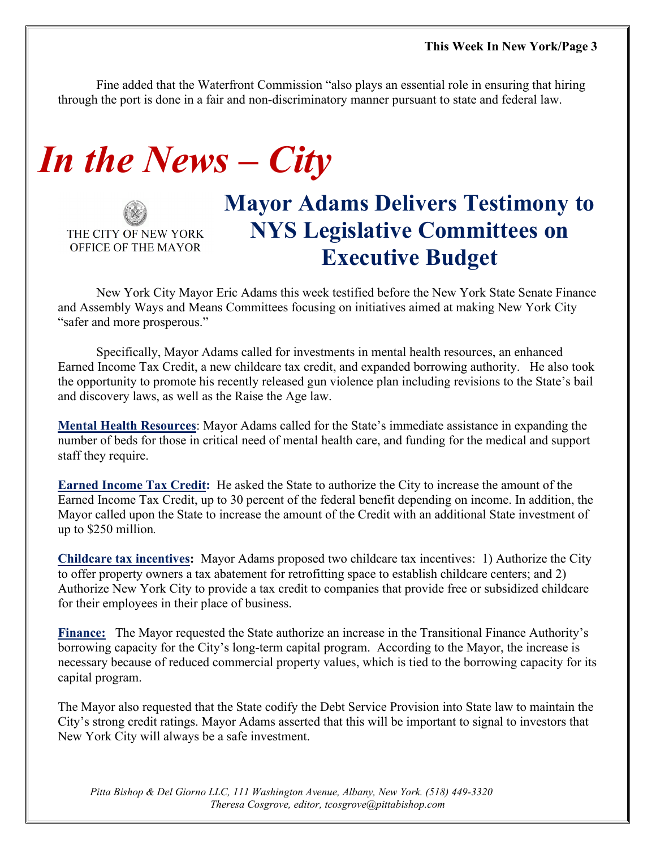Fine added that the Waterfront Commission "also plays an essential role in ensuring that hiring through the port is done in a fair and non-discriminatory manner pursuant to state and federal law.

# *In the News – City*

THE CITY OF NEW YORK OFFICE OF THE MAYOR

## **Mayor Adams Delivers Testimony to NYS Legislative Committees on Executive Budget**

New York City Mayor Eric Adams this week testified before the New York State Senate Finance and Assembly Ways and Means Committees focusing on initiatives aimed at making New York City "safer and more prosperous."

Specifically, Mayor Adams called for investments in mental health resources, an enhanced Earned Income Tax Credit, a new childcare tax credit, and expanded borrowing authority. He also took the opportunity to promote his recently released gun violence plan including revisions to the State's bail and discovery laws, as well as the Raise the Age law.

**Mental Health Resources**: Mayor Adams called for the State's immediate assistance in expanding the number of beds for those in critical need of mental health care, and funding for the medical and support staff they require.

**Earned Income Tax Credit:** He asked the State to authorize the City to increase the amount of the Earned Income Tax Credit, up to 30 percent of the federal benefit depending on income. In addition, the Mayor called upon the State to increase the amount of the Credit with an additional State investment of up to \$250 million*.* 

**Childcare tax incentives:** Mayor Adams proposed two childcare tax incentives: 1) Authorize the City to offer property owners a tax abatement for retrofitting space to establish childcare centers; and 2) Authorize New York City to provide a tax credit to companies that provide free or subsidized childcare for their employees in their place of business.

**Finance:** The Mayor requested the State authorize an increase in the Transitional Finance Authority's borrowing capacity for the City's long-term capital program. According to the Mayor, the increase is necessary because of reduced commercial property values, which is tied to the borrowing capacity for its capital program.

The Mayor also requested that the State codify the Debt Service Provision into State law to maintain the City's strong credit ratings. Mayor Adams asserted that this will be important to signal to investors that New York City will always be a safe investment.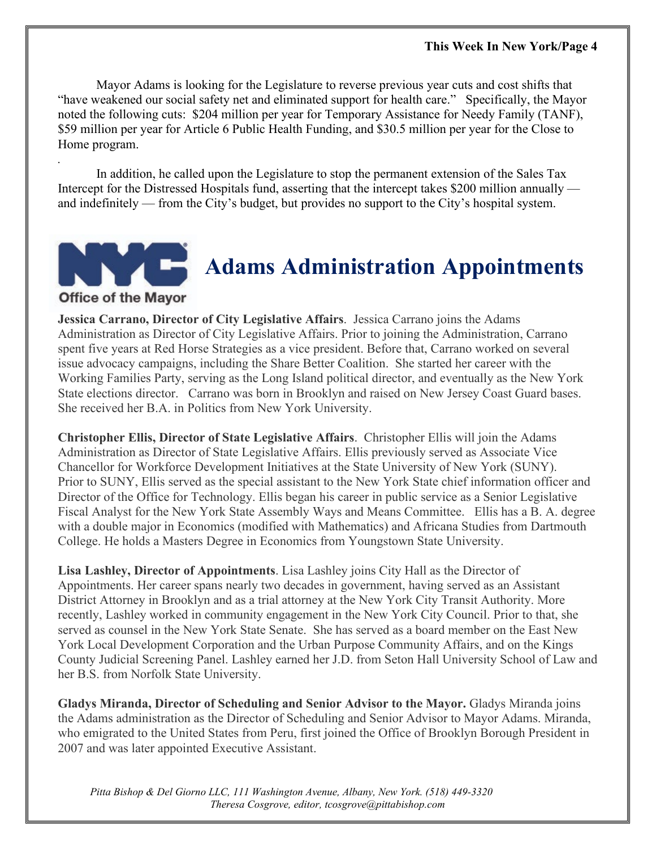Mayor Adams is looking for the Legislature to reverse previous year cuts and cost shifts that "have weakened our social safety net and eliminated support for health care." Specifically, the Mayor noted the following cuts: \$204 million per year for Temporary Assistance for Needy Family (TANF), \$59 million per year for Article 6 Public Health Funding, and \$30.5 million per year for the Close to Home program.

In addition, he called upon the Legislature to stop the permanent extension of the Sales Tax Intercept for the Distressed Hospitals fund, asserting that the intercept takes \$200 million annually and indefinitely — from the City's budget, but provides no support to the City's hospital system.



*.*

# **Adams Administration Appointments**

**Jessica Carrano, Director of City Legislative Affairs**. Jessica Carrano joins the Adams Administration as Director of City Legislative Affairs. Prior to joining the Administration, Carrano spent five years at Red Horse Strategies as a vice president. Before that, Carrano worked on several issue advocacy campaigns, including the Share Better Coalition. She started her career with the Working Families Party, serving as the Long Island political director, and eventually as the New York State elections director. Carrano was born in Brooklyn and raised on New Jersey Coast Guard bases. She received her B.A. in Politics from New York University.

**Christopher Ellis, Director of State Legislative Affairs**. Christopher Ellis will join the Adams Administration as Director of State Legislative Affairs. Ellis previously served as Associate Vice Chancellor for Workforce Development Initiatives at the State University of New York (SUNY). Prior to SUNY, Ellis served as the special assistant to the New York State chief information officer and Director of the Office for Technology. Ellis began his career in public service as a Senior Legislative Fiscal Analyst for the New York State Assembly Ways and Means Committee. Ellis has a B. A. degree with a double major in Economics (modified with Mathematics) and Africana Studies from Dartmouth College. He holds a Masters Degree in Economics from Youngstown State University.

**Lisa Lashley, Director of Appointments**. Lisa Lashley joins City Hall as the Director of Appointments. Her career spans nearly two decades in government, having served as an Assistant District Attorney in Brooklyn and as a trial attorney at the New York City Transit Authority. More recently, Lashley worked in community engagement in the New York City Council. Prior to that, she served as counsel in the New York State Senate. She has served as a board member on the East New York Local Development Corporation and the Urban Purpose Community Affairs, and on the Kings County Judicial Screening Panel. Lashley earned her J.D. from Seton Hall University School of Law and her B.S. from Norfolk State University.

**Gladys Miranda, Director of Scheduling and Senior Advisor to the Mayor.** Gladys Miranda joins the Adams administration as the Director of Scheduling and Senior Advisor to Mayor Adams. Miranda, who emigrated to the United States from Peru, first joined the Office of Brooklyn Borough President in 2007 and was later appointed Executive Assistant.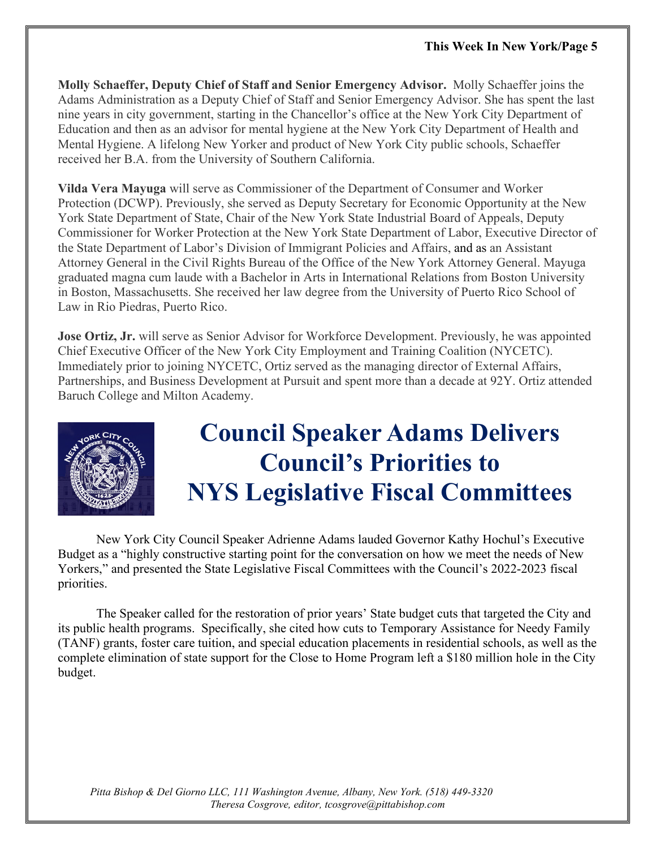**Molly Schaeffer, Deputy Chief of Staff and Senior Emergency Advisor.** Molly Schaeffer joins the Adams Administration as a Deputy Chief of Staff and Senior Emergency Advisor. She has spent the last nine years in city government, starting in the Chancellor's office at the New York City Department of Education and then as an advisor for mental hygiene at the New York City Department of Health and Mental Hygiene. A lifelong New Yorker and product of New York City public schools, Schaeffer received her B.A. from the University of Southern California.

**Vilda Vera Mayuga** will serve as Commissioner of the Department of Consumer and Worker Protection (DCWP). Previously, she served as Deputy Secretary for Economic Opportunity at the New York State Department of State, Chair of the New York State Industrial Board of Appeals, Deputy Commissioner for Worker Protection at the New York State Department of Labor, Executive Director of the State Department of Labor's Division of Immigrant Policies and Affairs, and as an Assistant Attorney General in the Civil Rights Bureau of the Office of the New York Attorney General. Mayuga graduated magna cum laude with a Bachelor in Arts in International Relations from Boston University in Boston, Massachusetts. She received her law degree from the University of Puerto Rico School of Law in Rio Piedras, Puerto Rico.

**Jose Ortiz, Jr.** will serve as Senior Advisor for Workforce Development. Previously, he was appointed Chief Executive Officer of the New York City Employment and Training Coalition (NYCETC). Immediately prior to joining NYCETC, Ortiz served as the managing director of External Affairs, Partnerships, and Business Development at Pursuit and spent more than a decade at 92Y. Ortiz attended Baruch College and Milton Academy.



# **Council Speaker Adams Delivers Council's Priorities to NYS Legislative Fiscal Committees**

New York City Council Speaker Adrienne Adams lauded Governor Kathy Hochul's Executive Budget as a "highly constructive starting point for the conversation on how we meet the needs of New Yorkers," and presented the State Legislative Fiscal Committees with the Council's 2022-2023 fiscal priorities.

The Speaker called for the restoration of prior years' State budget cuts that targeted the City and its public health programs. Specifically, she cited how cuts to Temporary Assistance for Needy Family (TANF) grants, foster care tuition, and special education placements in residential schools, as well as the complete elimination of state support for the Close to Home Program left a \$180 million hole in the City budget.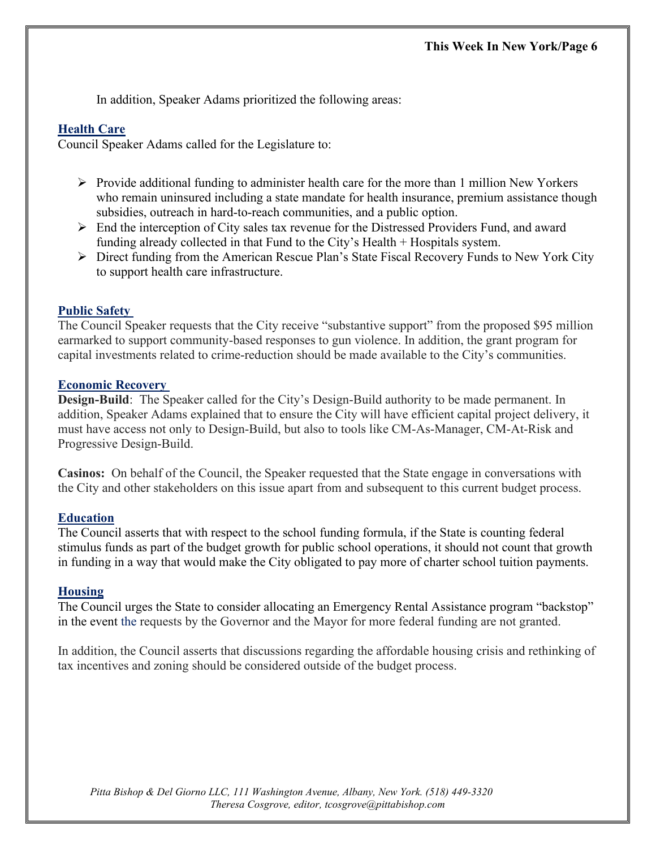In addition, Speaker Adams prioritized the following areas:

#### **Health Care**

Council Speaker Adams called for the Legislature to:

- $\triangleright$  Provide additional funding to administer health care for the more than 1 million New Yorkers who remain uninsured including a state mandate for health insurance, premium assistance though subsidies, outreach in hard-to-reach communities, and a public option.
- $\triangleright$  End the interception of City sales tax revenue for the Distressed Providers Fund, and award funding already collected in that Fund to the City's Health + Hospitals system.
- $\triangleright$  Direct funding from the American Rescue Plan's State Fiscal Recovery Funds to New York City to support health care infrastructure.

#### **Public Safety**

The Council Speaker requests that the City receive "substantive support" from the proposed \$95 million earmarked to support community-based responses to gun violence. In addition, the grant program for capital investments related to crime-reduction should be made available to the City's communities.

#### **Economic Recovery**

**Design-Build**: The Speaker called for the City's Design-Build authority to be made permanent. In addition, Speaker Adams explained that to ensure the City will have efficient capital project delivery, it must have access not only to Design-Build, but also to tools like CM-As-Manager, CM-At-Risk and Progressive Design-Build.

**Casinos:** On behalf of the Council, the Speaker requested that the State engage in conversations with the City and other stakeholders on this issue apart from and subsequent to this current budget process.

#### **Education**

The Council asserts that with respect to the school funding formula, if the State is counting federal stimulus funds as part of the budget growth for public school operations, it should not count that growth in funding in a way that would make the City obligated to pay more of charter school tuition payments.

#### **Housing**

The Council urges the State to consider allocating an Emergency Rental Assistance program "backstop" in the event the requests by the Governor and the Mayor for more federal funding are not granted.

In addition, the Council asserts that discussions regarding the affordable housing crisis and rethinking of tax incentives and zoning should be considered outside of the budget process.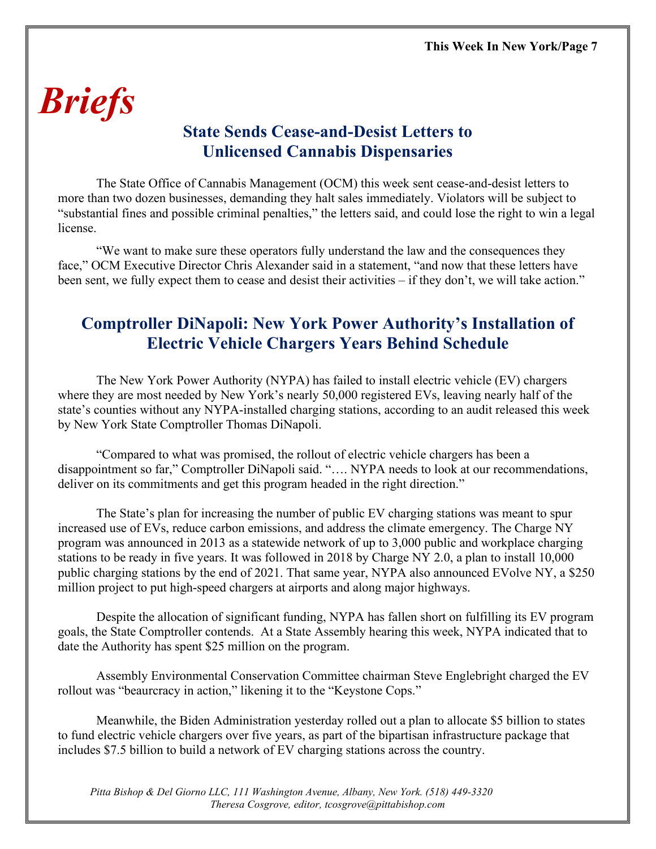# *Briefs*

## **State Sends Cease-and-Desist Letters to Unlicensed Cannabis Dispensaries**

The State Office of Cannabis Management (OCM) this week sent cease-and-desist letters to more than two dozen businesses, demanding they halt sales immediately. Violators will be subject to "substantial fines and possible criminal penalties," the letters said, and could lose the right to win a legal license.

"We want to make sure these operators fully understand the law and the consequences they face," OCM Executive Director Chris Alexander said in a statement, "and now that these letters have been sent, we fully expect them to cease and desist their activities – if they don't, we will take action."

## **Comptroller DiNapoli: New York Power Authority's Installation of Electric Vehicle Chargers Years Behind Schedule**

The New York Power Authority (NYPA) has failed to install electric vehicle (EV) chargers where they are most needed by New York's nearly 50,000 registered EVs, leaving nearly half of the state's counties without any NYPA-installed charging stations, according to an audit released this week by New York State Comptroller Thomas DiNapoli.

"Compared to what was promised, the rollout of electric vehicle chargers has been a disappointment so far," Comptroller DiNapoli said. "…. NYPA needs to look at our recommendations, deliver on its commitments and get this program headed in the right direction."

The State's plan for increasing the number of public EV charging stations was meant to spur increased use of EVs, reduce carbon emissions, and address the climate emergency. The Charge NY program was announced in 2013 as a statewide network of up to 3,000 public and workplace charging stations to be ready in five years. It was followed in 2018 by Charge NY 2.0, a plan to install 10,000 public charging stations by the end of 2021. That same year, NYPA also announced EVolve NY, a \$250 million project to put high-speed chargers at airports and along major highways.

Despite the allocation of significant funding, NYPA has fallen short on fulfilling its EV program goals, the State Comptroller contends. At a State Assembly hearing this week, NYPA indicated that to date the Authority has spent \$25 million on the program.

Assembly Environmental Conservation Committee chairman Steve Englebright charged the EV rollout was "beaurcracy in action," likening it to the "Keystone Cops."

Meanwhile, the Biden Administration yesterday rolled out a plan to allocate \$5 billion to states to fund electric vehicle chargers over five years, as part of the bipartisan infrastructure package that includes \$7.5 billion to build a network of EV charging stations across the country.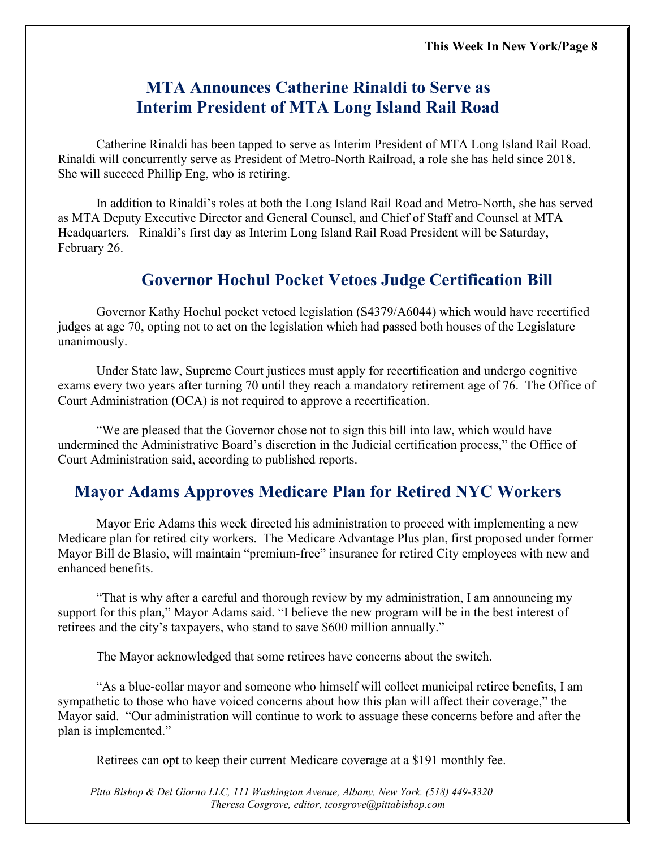### **MTA Announces Catherine Rinaldi to Serve as Interim President of MTA Long Island Rail Road**

Catherine Rinaldi has been tapped to serve as Interim President of MTA Long Island Rail Road. Rinaldi will concurrently serve as President of Metro-North Railroad, a role she has held since 2018. She will succeed Phillip Eng, who is retiring.

In addition to Rinaldi's roles at both the Long Island Rail Road and Metro-North, she has served as MTA Deputy Executive Director and General Counsel, and Chief of Staff and Counsel at MTA Headquarters. Rinaldi's first day as Interim Long Island Rail Road President will be Saturday, February 26.

### **Governor Hochul Pocket Vetoes Judge Certification Bill**

Governor Kathy Hochul pocket vetoed legislation (S4379/A6044) which would have recertified judges at age 70, opting not to act on the legislation which had passed both houses of the Legislature unanimously.

Under State law, Supreme Court justices must apply for recertification and undergo cognitive exams every two years after turning 70 until they reach a mandatory retirement age of 76. The Office of Court Administration (OCA) is not required to approve a recertification.

"We are pleased that the Governor chose not to sign this bill into law, which would have undermined the Administrative Board's discretion in the Judicial certification process," the Office of Court Administration said, according to published reports.

### **Mayor Adams Approves Medicare Plan for Retired NYC Workers**

Mayor Eric Adams this week directed his administration to proceed with implementing a new Medicare plan for retired city workers. The Medicare Advantage Plus plan, first proposed under former Mayor Bill de Blasio, will maintain "premium-free" insurance for retired City employees with new and enhanced benefits.

"That is why after a careful and thorough review by my administration, I am announcing my support for this plan," Mayor Adams said. "I believe the new program will be in the best interest of retirees and the city's taxpayers, who stand to save \$600 million annually."

The Mayor acknowledged that some retirees have concerns about the switch.

"As a blue-collar mayor and someone who himself will collect municipal retiree benefits, I am sympathetic to those who have voiced concerns about how this plan will affect their coverage," the Mayor said. "Our administration will continue to work to assuage these concerns before and after the plan is implemented."

Retirees can opt to keep their current Medicare coverage at a \$191 monthly fee.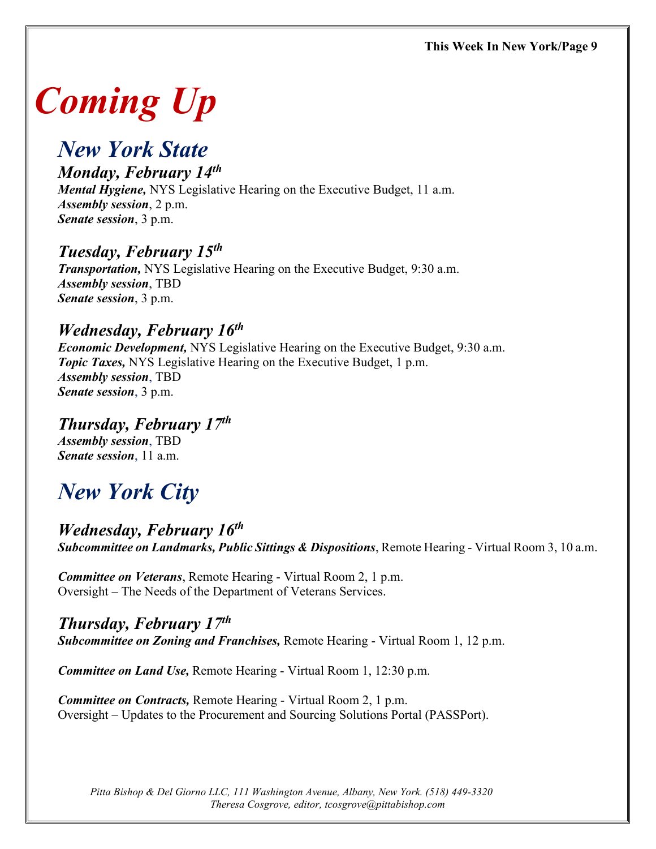# *Coming Up*

## *New York State*

## *Monday, February 14th*

*Mental Hygiene,* NYS Legislative Hearing on the Executive Budget, 11 a.m. *Assembly session*, 2 p.m. *Senate session*, 3 p.m.

#### *Tuesday, February 15th*

*Transportation,* NYS Legislative Hearing on the Executive Budget, 9:30 a.m. *Assembly session*, TBD *Senate session*, 3 p.m.

## *Wednesday, February 16th*

*Economic Development,* NYS Legislative Hearing on the Executive Budget, 9:30 a.m. *Topic Taxes,* NYS Legislative Hearing on the Executive Budget, 1 p.m. *Assembly session*, TBD *Senate session*, 3 p.m.

*Thursday, February 17th Assembly session*, TBD *Senate session*, 11 a.m.

# *New York City*

#### *Wednesday, February 16th Subcommittee on Landmarks, Public Sittings & Dispositions*, Remote Hearing - Virtual Room 3, 10 a.m.

*Committee on Veterans*, Remote Hearing - Virtual Room 2, 1 p.m. Oversight – The Needs of the Department of Veterans Services.

#### *Thursday, February 17th*

*Subcommittee on Zoning and Franchises,* Remote Hearing - Virtual Room 1, 12 p.m.

*Committee on Land Use,* Remote Hearing - Virtual Room 1, 12:30 p.m.

*Committee on Contracts,* Remote Hearing - Virtual Room 2, 1 p.m. Oversight – Updates to the Procurement and Sourcing Solutions Portal (PASSPort).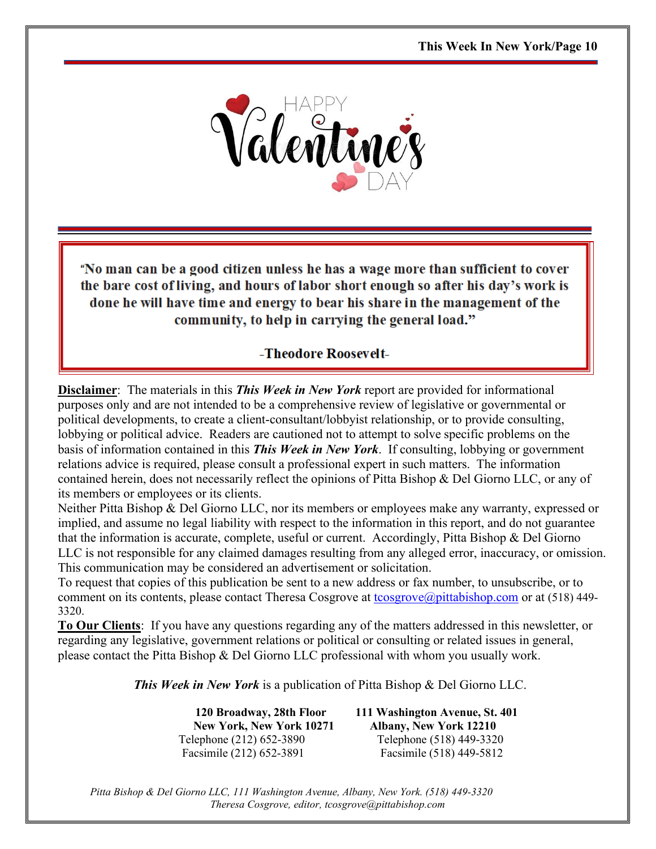

"No man can be a good citizen unless he has a wage more than sufficient to cover the bare cost of living, and hours of labor short enough so after his day's work is done he will have time and energy to bear his share in the management of the community, to help in carrying the general load."

#### -Theodore Roosevelt-

**Disclaimer**: The materials in this *This Week in New York* report are provided for informational purposes only and are not intended to be a comprehensive review of legislative or governmental or political developments, to create a client-consultant/lobbyist relationship, or to provide consulting, lobbying or political advice. Readers are cautioned not to attempt to solve specific problems on the basis of information contained in this *This Week in New York*. If consulting, lobbying or government relations advice is required, please consult a professional expert in such matters. The information contained herein, does not necessarily reflect the opinions of Pitta Bishop & Del Giorno LLC, or any of its members or employees or its clients.

Neither Pitta Bishop & Del Giorno LLC, nor its members or employees make any warranty, expressed or implied, and assume no legal liability with respect to the information in this report, and do not guarantee that the information is accurate, complete, useful or current. Accordingly, Pitta Bishop & Del Giorno LLC is not responsible for any claimed damages resulting from any alleged error, inaccuracy, or omission. This communication may be considered an advertisement or solicitation.

To request that copies of this publication be sent to a new address or fax number, to unsubscribe, or to comment on its contents, please contact Theresa Cosgrove at [tcosgrove@pittabishop.com](mailto:tcosgrove@pittabishop.com) or at (518) 449-3320.

**To Our Clients**: If you have any questions regarding any of the matters addressed in this newsletter, or regarding any legislative, government relations or political or consulting or related issues in general, please contact the Pitta Bishop & Del Giorno LLC professional with whom you usually work.

*This Week in New York* is a publication of Pitta Bishop & Del Giorno LLC.

 **120 Broadway, 28th Floor 111 Washington Avenue, St. 401 New York, New York 10271 Albany, New York 12210** Telephone (212) 652-3890 Telephone (518) 449-3320 Facsimile (212) 652-3891 Facsimile (518) 449-5812